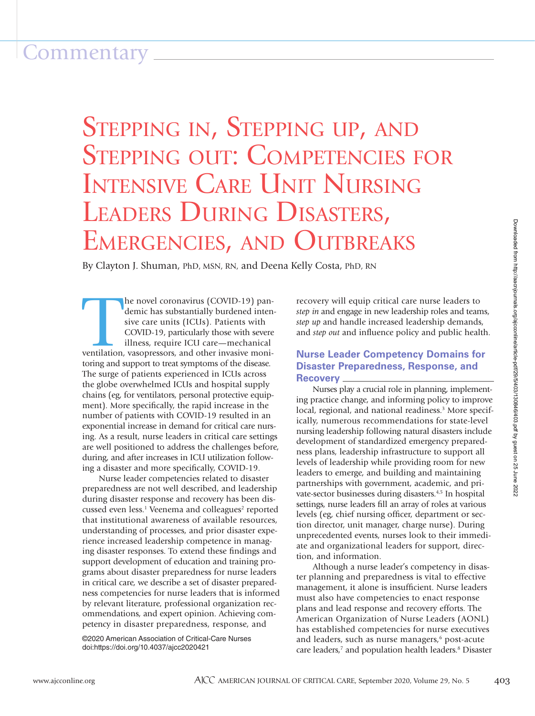# Commentary

# STEPPING IN, STEPPING UP, AND<br>STEPPING OUT: COMPETENCIES FOR INTENSIVE CARE UNIT NURSING LEADERS DURING DISASTERS, EMERGENCIES, AND OUTBREAKS

By Clayton J. Shuman, PhD, MSN, RN, and Deena Kelly Costa, PhD, RN

The novel coronavirus (COVID-19) pandemic has substantially burdened intensive care units (ICUs). Patients with COVID-19, particularly those with severe illness, require ICU care—mechanical ventilation, vasopressors, and o he novel coronavirus (COVID-19) pandemic has substantially burdened intensive care units (ICUs). Patients with COVID-19, particularly those with severe illness, require ICU care—mechanical toring and support to treat symptoms of the disease. The surge of patients experienced in ICUs across the globe overwhelmed ICUs and hospital supply chains (eg, for ventilators, personal protective equipment). More specifically, the rapid increase in the number of patients with COVID-19 resulted in an exponential increase in demand for critical care nursing. As a result, nurse leaders in critical care settings are well positioned to address the challenges before, during, and after increases in ICU utilization following a disaster and more specifically, COVID-19.

Nurse leader competencies related to disaster preparedness are not well described, and leadership during disaster response and recovery has been discussed even less.<sup>1</sup> Veenema and colleagues<sup>2</sup> reported that institutional awareness of available resources, understanding of processes, and prior disaster experience increased leadership competence in managing disaster responses. To extend these findings and support development of education and training programs about disaster preparedness for nurse leaders in critical care, we describe a set of disaster preparedness competencies for nurse leaders that is informed by relevant literature, professional organization recommendations, and expert opinion. Achieving competency in disaster preparedness, response, and

©2020 American Association of Critical-Care Nurses doi:https://doi.org/10.4037/ajcc2020421

recovery will equip critical care nurse leaders to *step in* and engage in new leadership roles and teams, *step up* and handle increased leadership demands, and *step out* and influence policy and public health.

# **Nurse Leader Competency Domains for Disaster Preparedness, Response, and Recovery**

Nurses play a crucial role in planning, implementing practice change, and informing policy to improve local, regional, and national readiness.<sup>3</sup> More specifically, numerous recommendations for state-level nursing leadership following natural disasters include development of standardized emergency preparedness plans, leadership infrastructure to support all levels of leadership while providing room for new leaders to emerge, and building and maintaining partnerships with government, academic, and private-sector businesses during disasters.4,5 In hospital settings, nurse leaders fill an array of roles at various levels (eg, chief nursing officer, department or section director, unit manager, charge nurse). During unprecedented events, nurses look to their immediate and organizational leaders for support, direction, and information.

Although a nurse leader's competency in disaster planning and preparedness is vital to effective management, it alone is insufficient. Nurse leaders must also have competencies to enact response plans and lead response and recovery efforts. The American Organization of Nurse Leaders (AONL) has established competencies for nurse executives and leaders, such as nurse managers,<sup>6</sup> post-acute care leaders,<sup>7</sup> and population health leaders.<sup>8</sup> Disaster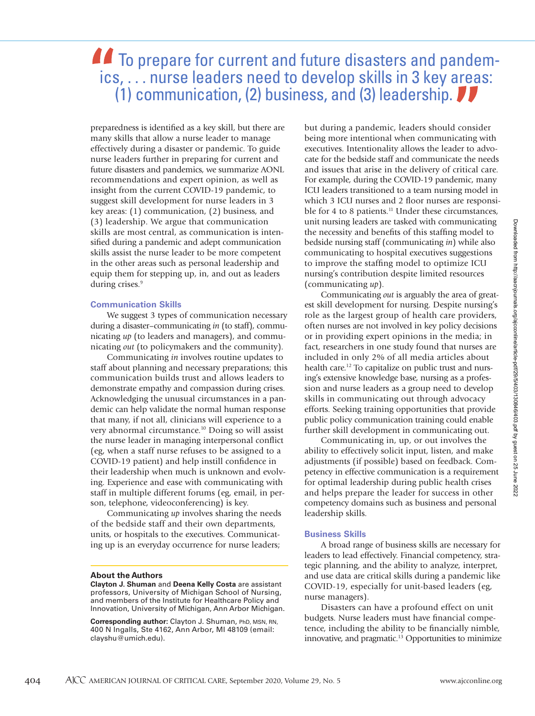# **To prepare for current and future disasters and pandem**ics, . . . nurse leaders need to develop skills in 3 key areas: (1) communication, (2) business, and (3) leadership.

preparedness is identified as a key skill, but there are many skills that allow a nurse leader to manage effectively during a disaster or pandemic. To guide nurse leaders further in preparing for current and future disasters and pandemics, we summarize AONL recommendations and expert opinion, as well as insight from the current COVID-19 pandemic, to suggest skill development for nurse leaders in 3 key areas: (1) communication, (2) business, and (3) leadership. We argue that communication skills are most central, as communication is intensified during a pandemic and adept communication skills assist the nurse leader to be more competent in the other areas such as personal leadership and equip them for stepping up, in, and out as leaders during crises.<sup>9</sup>

## **Communication Skills**

We suggest 3 types of communication necessary during a disaster–communicating *in* (to staff), communicating *up* (to leaders and managers), and communicating *out* (to policymakers and the community).

Communicating *in* involves routine updates to staff about planning and necessary preparations; this communication builds trust and allows leaders to demonstrate empathy and compassion during crises. Acknowledging the unusual circumstances in a pandemic can help validate the normal human response that many, if not all, clinicians will experience to a very abnormal circumstance.10 Doing so will assist the nurse leader in managing interpersonal conflict (eg, when a staff nurse refuses to be assigned to a COVID-19 patient) and help instill confidence in their leadership when much is unknown and evolving. Experience and ease with communicating with staff in multiple different forums (eg, email, in person, telephone, videoconferencing) is key.

Communicating *up* involves sharing the needs of the bedside staff and their own departments, units, or hospitals to the executives. Communicating up is an everyday occurrence for nurse leaders;

#### **About the Authors**

**Clayton J. Shuman** and **Deena Kelly Costa** are assistant professors, University of Michigan School of Nursing, and members of the Institute for Healthcare Policy and Innovation, University of Michigan, Ann Arbor Michigan.

**Corresponding author:** Clayton J. Shuman, PhD, MSN, RN, 400 N Ingalls, Ste 4162, Ann Arbor, MI 48109 (email: clayshu@umich.edu).

but during a pandemic, leaders should consider being more intentional when communicating with executives. Intentionality allows the leader to advocate for the bedside staff and communicate the needs and issues that arise in the delivery of critical care. For example, during the COVID-19 pandemic, many ICU leaders transitioned to a team nursing model in which 3 ICU nurses and 2 floor nurses are responsible for 4 to 8 patients.<sup>11</sup> Under these circumstances, unit nursing leaders are tasked with communicating the necessity and benefits of this staffing model to bedside nursing staff (communicating *in*) while also communicating to hospital executives suggestions to improve the staffing model to optimize ICU nursing's contribution despite limited resources (communicating *up*).

Communicating *out* is arguably the area of greatest skill development for nursing. Despite nursing's role as the largest group of health care providers, often nurses are not involved in key policy decisions or in providing expert opinions in the media; in fact, researchers in one study found that nurses are included in only 2% of all media articles about health care.<sup>12</sup> To capitalize on public trust and nursing's extensive knowledge base, nursing as a profession and nurse leaders as a group need to develop skills in communicating out through advocacy efforts. Seeking training opportunities that provide public policy communication training could enable further skill development in communicating out.

Communicating in, up, or out involves the ability to effectively solicit input, listen, and make adjustments (if possible) based on feedback. Competency in effective communication is a requirement for optimal leadership during public health crises and helps prepare the leader for success in other competency domains such as business and personal leadership skills.

# **Business Skills**

A broad range of business skills are necessary for leaders to lead effectively. Financial competency, strategic planning, and the ability to analyze, interpret, and use data are critical skills during a pandemic like COVID-19, especially for unit-based leaders (eg, nurse managers).

Disasters can have a profound effect on unit budgets. Nurse leaders must have financial competence, including the ability to be financially nimble, innovative, and pragmatic.13 Opportunities to minimize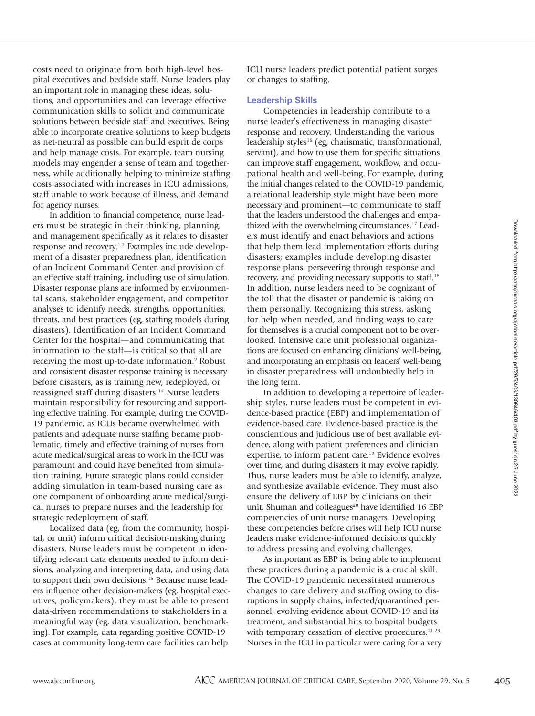costs need to originate from both high-level hospital executives and bedside staff. Nurse leaders play an important role in managing these ideas, solutions, and opportunities and can leverage effective communication skills to solicit and communicate solutions between bedside staff and executives. Being able to incorporate creative solutions to keep budgets as net-neutral as possible can build esprit de corps and help manage costs. For example, team nursing models may engender a sense of team and togetherness, while additionally helping to minimize staffing costs associated with increases in ICU admissions, staff unable to work because of illness, and demand for agency nurses.

In addition to financial competence, nurse leaders must be strategic in their thinking, planning, and management specifically as it relates to disaster response and recovery.1,2 Examples include development of a disaster preparedness plan, identification of an Incident Command Center, and provision of an effective staff training, including use of simulation. Disaster response plans are informed by environmental scans, stakeholder engagement, and competitor analyses to identify needs, strengths, opportunities, threats, and best practices (eg, staffing models during disasters). Identification of an Incident Command Center for the hospital—and communicating that information to the staff—is critical so that all are receiving the most up-to-date information.<sup>9</sup> Robust and consistent disaster response training is necessary before disasters, as is training new, redeployed, or reassigned staff during disasters.<sup>14</sup> Nurse leaders maintain responsibility for resourcing and supporting effective training. For example, during the COVID-19 pandemic, as ICUs became overwhelmed with patients and adequate nurse staffing became problematic, timely and effective training of nurses from acute medical/surgical areas to work in the ICU was paramount and could have benefited from simulation training. Future strategic plans could consider adding simulation in team-based nursing care as one component of onboarding acute medical/surgical nurses to prepare nurses and the leadership for strategic redeployment of staff.

Localized data (eg, from the community, hospital, or unit) inform critical decision-making during disasters. Nurse leaders must be competent in identifying relevant data elements needed to inform decisions, analyzing and interpreting data, and using data to support their own decisions.<sup>15</sup> Because nurse leaders influence other decision-makers (eg, hospital executives, policymakers), they must be able to present data-driven recommendations to stakeholders in a meaningful way (eg, data visualization, benchmarking). For example, data regarding positive COVID-19 cases at community long-term care facilities can help

ICU nurse leaders predict potential patient surges or changes to staffing.

### **Leadership Skills**

Competencies in leadership contribute to a nurse leader's effectiveness in managing disaster response and recovery. Understanding the various leadership styles16 (eg, charismatic, transformational, servant), and how to use them for specific situations can improve staff engagement, workflow, and occupational health and well-being. For example, during the initial changes related to the COVID-19 pandemic, a relational leadership style might have been more necessary and prominent—to communicate to staff that the leaders understood the challenges and empathized with the overwhelming circumstances.17 Leaders must identify and enact behaviors and actions that help them lead implementation efforts during disasters; examples include developing disaster response plans, persevering through response and recovery, and providing necessary supports to staff.18 In addition, nurse leaders need to be cognizant of the toll that the disaster or pandemic is taking on them personally. Recognizing this stress, asking for help when needed, and finding ways to care for themselves is a crucial component not to be overlooked. Intensive care unit professional organizations are focused on enhancing clinicians' well-being, and incorporating an emphasis on leaders' well-being in disaster preparedness will undoubtedly help in the long term.

In addition to developing a repertoire of leadership styles, nurse leaders must be competent in evidence-based practice (EBP) and implementation of evidence-based care. Evidence-based practice is the conscientious and judicious use of best available evidence, along with patient preferences and clinician expertise, to inform patient care.<sup>19</sup> Evidence evolves over time, and during disasters it may evolve rapidly. Thus, nurse leaders must be able to identify, analyze, and synthesize available evidence. They must also ensure the delivery of EBP by clinicians on their unit. Shuman and colleagues<sup>20</sup> have identified 16 EBP competencies of unit nurse managers. Developing these competencies before crises will help ICU nurse leaders make evidence-informed decisions quickly to address pressing and evolving challenges.

As important as EBP is, being able to implement these practices during a pandemic is a crucial skill. The COVID-19 pandemic necessitated numerous changes to care delivery and staffing owing to disruptions in supply chains, infected/quarantined personnel, evolving evidence about COVID-19 and its treatment, and substantial hits to hospital budgets with temporary cessation of elective procedures.<sup>21-23</sup> Nurses in the ICU in particular were caring for a very